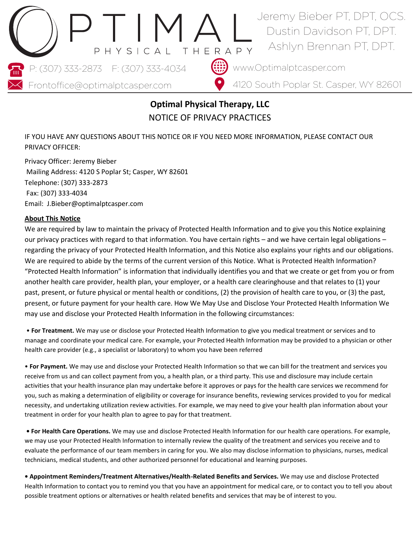

# **Optimal Physical Therapy, LLC** NOTICE OF PRIVACY PRACTICES

IF YOU HAVE ANY QUESTIONS ABOUT THIS NOTICE OR IF YOU NEED MORE INFORMATION, PLEASE CONTACT OUR PRIVACY OFFICER:

Privacy Officer: Jeremy Bieber Mailing Address: 4120 S Poplar St; Casper, WY 82601 Telephone: (307) 333-2873 Fax: (307) 333-4034 Email: J.Bieber@optimalptcasper.com

## **About This Notice**

We are required by law to maintain the privacy of Protected Health Information and to give you this Notice explaining our privacy practices with regard to that information. You have certain rights – and we have certain legal obligations – regarding the privacy of your Protected Health Information, and this Notice also explains your rights and our obligations. We are required to abide by the terms of the current version of this Notice. What is Protected Health Information? "Protected Health Information" is information that individually identifies you and that we create or get from you or from another health care provider, health plan, your employer, or a health care clearinghouse and that relates to (1) your past, present, or future physical or mental health or conditions, (2) the provision of health care to you, or (3) the past, present, or future payment for your health care. How We May Use and Disclose Your Protected Health Information We may use and disclose your Protected Health Information in the following circumstances:

• **For Treatment.** We may use or disclose your Protected Health Information to give you medical treatment or services and to manage and coordinate your medical care. For example, your Protected Health Information may be provided to a physician or other health care provider (e.g., a specialist or laboratory) to whom you have been referred

• **For Payment.** We may use and disclose your Protected Health Information so that we can bill for the treatment and services you receive from us and can collect payment from you, a health plan, or a third party. This use and disclosure may include certain activities that your health insurance plan may undertake before it approves or pays for the health care services we recommend for you, such as making a determination of eligibility or coverage for insurance benefits, reviewing services provided to you for medical necessity, and undertaking utilization review activities. For example, we may need to give your health plan information about your treatment in order for your health plan to agree to pay for that treatment.

**• For Health Care Operations.** We may use and disclose Protected Health Information for our health care operations. For example, we may use your Protected Health Information to internally review the quality of the treatment and services you receive and to evaluate the performance of our team members in caring for you. We also may disclose information to physicians, nurses, medical technicians, medical students, and other authorized personnel for educational and learning purposes.

**• Appointment Reminders/Treatment Alternatives/Health-Related Benefits and Services.** We may use and disclose Protected Health Information to contact you to remind you that you have an appointment for medical care, or to contact you to tell you about possible treatment options or alternatives or health related benefits and services that may be of interest to you.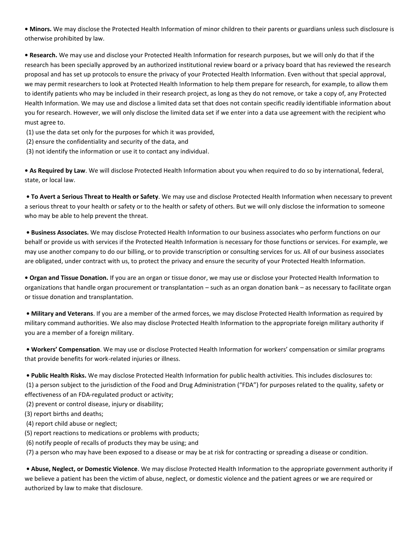**• Minors.** We may disclose the Protected Health Information of minor children to their parents or guardians unless such disclosure is otherwise prohibited by law.

**• Research.** We may use and disclose your Protected Health Information for research purposes, but we will only do that if the research has been specially approved by an authorized institutional review board or a privacy board that has reviewed the research proposal and has set up protocols to ensure the privacy of your Protected Health Information. Even without that special approval, we may permit researchers to look at Protected Health Information to help them prepare for research, for example, to allow them to identify patients who may be included in their research project, as long as they do not remove, or take a copy of, any Protected Health Information. We may use and disclose a limited data set that does not contain specific readily identifiable information about you for research. However, we will only disclose the limited data set if we enter into a data use agreement with the recipient who must agree to.

(1) use the data set only for the purposes for which it was provided,

- (2) ensure the confidentiality and security of the data, and
- (3) not identify the information or use it to contact any individual.

**• As Required by Law**. We will disclose Protected Health Information about you when required to do so by international, federal, state, or local law.

**• To Avert a Serious Threat to Health or Safety**. We may use and disclose Protected Health Information when necessary to prevent a serious threat to your health or safety or to the health or safety of others. But we will only disclose the information to someone who may be able to help prevent the threat.

**• Business Associates.** We may disclose Protected Health Information to our business associates who perform functions on our behalf or provide us with services if the Protected Health Information is necessary for those functions or services. For example, we may use another company to do our billing, or to provide transcription or consulting services for us. All of our business associates are obligated, under contract with us, to protect the privacy and ensure the security of your Protected Health Information.

**• Organ and Tissue Donation.** If you are an organ or tissue donor, we may use or disclose your Protected Health Information to organizations that handle organ procurement or transplantation – such as an organ donation bank – as necessary to facilitate organ or tissue donation and transplantation.

**• Military and Veterans**. If you are a member of the armed forces, we may disclose Protected Health Information as required by military command authorities. We also may disclose Protected Health Information to the appropriate foreign military authority if you are a member of a foreign military.

**• Workers' Compensation**. We may use or disclose Protected Health Information for workers' compensation or similar programs that provide benefits for work-related injuries or illness.

**• Public Health Risks.** We may disclose Protected Health Information for public health activities. This includes disclosures to: (1) a person subject to the jurisdiction of the Food and Drug Administration ("FDA") for purposes related to the quality, safety or effectiveness of an FDA-regulated product or activity;

(2) prevent or control disease, injury or disability;

- (3) report births and deaths;
- (4) report child abuse or neglect;
- (5) report reactions to medications or problems with products;
- (6) notify people of recalls of products they may be using; and

(7) a person who may have been exposed to a disease or may be at risk for contracting or spreading a disease or condition.

**• Abuse, Neglect, or Domestic Violence**. We may disclose Protected Health Information to the appropriate government authority if we believe a patient has been the victim of abuse, neglect, or domestic violence and the patient agrees or we are required or authorized by law to make that disclosure.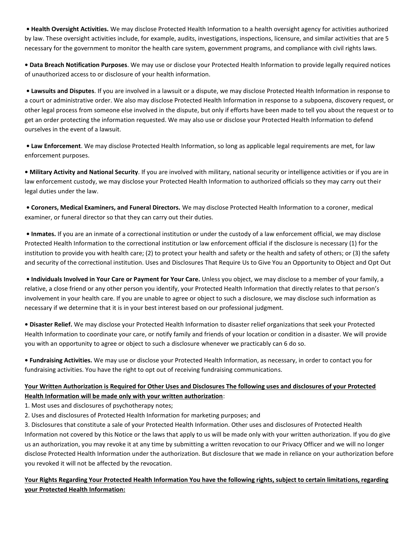**• Health Oversight Activities.** We may disclose Protected Health Information to a health oversight agency for activities authorized by law. These oversight activities include, for example, audits, investigations, inspections, licensure, and similar activities that are 5 necessary for the government to monitor the health care system, government programs, and compliance with civil rights laws.

**• Data Breach Notification Purposes**. We may use or disclose your Protected Health Information to provide legally required notices of unauthorized access to or disclosure of your health information.

**• Lawsuits and Disputes**. If you are involved in a lawsuit or a dispute, we may disclose Protected Health Information in response to a court or administrative order. We also may disclose Protected Health Information in response to a subpoena, discovery request, or other legal process from someone else involved in the dispute, but only if efforts have been made to tell you about the request or to get an order protecting the information requested. We may also use or disclose your Protected Health Information to defend ourselves in the event of a lawsuit.

**• Law Enforcement**. We may disclose Protected Health Information, so long as applicable legal requirements are met, for law enforcement purposes.

**• Military Activity and National Security**. If you are involved with military, national security or intelligence activities or if you are in law enforcement custody, we may disclose your Protected Health Information to authorized officials so they may carry out their legal duties under the law.

**• Coroners, Medical Examiners, and Funeral Directors.** We may disclose Protected Health Information to a coroner, medical examiner, or funeral director so that they can carry out their duties.

**• Inmates.** If you are an inmate of a correctional institution or under the custody of a law enforcement official, we may disclose Protected Health Information to the correctional institution or law enforcement official if the disclosure is necessary (1) for the institution to provide you with health care; (2) to protect your health and safety or the health and safety of others; or (3) the safety and security of the correctional institution. Uses and Disclosures That Require Us to Give You an Opportunity to Object and Opt Out

**• Individuals Involved in Your Care or Payment for Your Care.** Unless you object, we may disclose to a member of your family, a relative, a close friend or any other person you identify, your Protected Health Information that directly relates to that person's involvement in your health care. If you are unable to agree or object to such a disclosure, we may disclose such information as necessary if we determine that it is in your best interest based on our professional judgment.

**• Disaster Relief.** We may disclose your Protected Health Information to disaster relief organizations that seek your Protected Health Information to coordinate your care, or notify family and friends of your location or condition in a disaster. We will provide you with an opportunity to agree or object to such a disclosure whenever we practicably can 6 do so.

**• Fundraising Activities.** We may use or disclose your Protected Health Information, as necessary, in order to contact you for fundraising activities. You have the right to opt out of receiving fundraising communications.

## **Your Written Authorization is Required for Other Uses and Disclosures The following uses and disclosures of your Protected Health Information will be made only with your written authorization**:

1. Most uses and disclosures of psychotherapy notes;

2. Uses and disclosures of Protected Health Information for marketing purposes; and

3. Disclosures that constitute a sale of your Protected Health Information. Other uses and disclosures of Protected Health Information not covered by this Notice or the laws that apply to us will be made only with your written authorization. If you do give us an authorization, you may revoke it at any time by submitting a written revocation to our Privacy Officer and we will no longer disclose Protected Health Information under the authorization. But disclosure that we made in reliance on your authorization before you revoked it will not be affected by the revocation.

## **Your Rights Regarding Your Protected Health Information You have the following rights, subject to certain limitations, regarding your Protected Health Information:**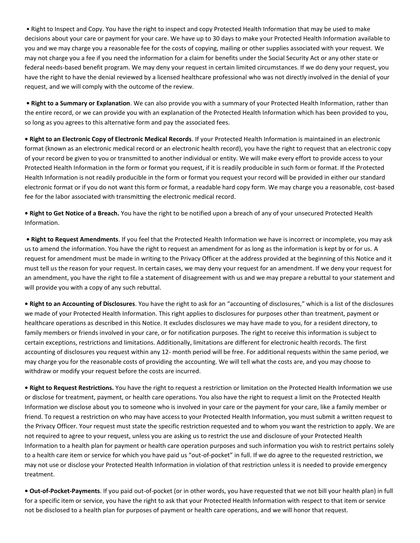• Right to Inspect and Copy. You have the right to inspect and copy Protected Health Information that may be used to make decisions about your care or payment for your care. We have up to 30 days to make your Protected Health Information available to you and we may charge you a reasonable fee for the costs of copying, mailing or other supplies associated with your request. We may not charge you a fee if you need the information for a claim for benefits under the Social Security Act or any other state or federal needs-based benefit program. We may deny your request in certain limited circumstances. If we do deny your request, you have the right to have the denial reviewed by a licensed healthcare professional who was not directly involved in the denial of your request, and we will comply with the outcome of the review.

**• Right to a Summary or Explanation**. We can also provide you with a summary of your Protected Health Information, rather than the entire record, or we can provide you with an explanation of the Protected Health Information which has been provided to you, so long as you agrees to this alternative form and pay the associated fees.

**• Right to an Electronic Copy of Electronic Medical Records**. If your Protected Health Information is maintained in an electronic format (known as an electronic medical record or an electronic health record), you have the right to request that an electronic copy of your record be given to you or transmitted to another individual or entity. We will make every effort to provide access to your Protected Health Information in the form or format you request, if it is readily producible in such form or format. If the Protected Health Information is not readily producible in the form or format you request your record will be provided in either our standard electronic format or if you do not want this form or format, a readable hard copy form. We may charge you a reasonable, cost-based fee for the labor associated with transmitting the electronic medical record.

**• Right to Get Notice of a Breach.** You have the right to be notified upon a breach of any of your unsecured Protected Health Information.

**• Right to Request Amendments**. If you feel that the Protected Health Information we have is incorrect or incomplete, you may ask us to amend the information. You have the right to request an amendment for as long as the information is kept by or for us. A request for amendment must be made in writing to the Privacy Officer at the address provided at the beginning of this Notice and it must tell us the reason for your request. In certain cases, we may deny your request for an amendment. If we deny your request for an amendment, you have the right to file a statement of disagreement with us and we may prepare a rebuttal to your statement and will provide you with a copy of any such rebuttal.

**• Right to an Accounting of Disclosures**. You have the right to ask for an "accounting of disclosures," which is a list of the disclosures we made of your Protected Health Information. This right applies to disclosures for purposes other than treatment, payment or healthcare operations as described in this Notice. It excludes disclosures we may have made to you, for a resident directory, to family members or friends involved in your care, or for notification purposes. The right to receive this information is subject to certain exceptions, restrictions and limitations. Additionally, limitations are different for electronic health records. The first accounting of disclosures you request within any 12- month period will be free. For additional requests within the same period, we may charge you for the reasonable costs of providing the accounting. We will tell what the costs are, and you may choose to withdraw or modify your request before the costs are incurred.

**• Right to Request Restrictions.** You have the right to request a restriction or limitation on the Protected Health Information we use or disclose for treatment, payment, or health care operations. You also have the right to request a limit on the Protected Health Information we disclose about you to someone who is involved in your care or the payment for your care, like a family member or friend. To request a restriction on who may have access to your Protected Health Information, you must submit a written request to the Privacy Officer. Your request must state the specific restriction requested and to whom you want the restriction to apply. We are not required to agree to your request, unless you are asking us to restrict the use and disclosure of your Protected Health Information to a health plan for payment or health care operation purposes and such information you wish to restrict pertains solely to a health care item or service for which you have paid us "out-of-pocket" in full. If we do agree to the requested restriction, we may not use or disclose your Protected Health Information in violation of that restriction unless it is needed to provide emergency treatment.

**• Out-of-Pocket-Payments**. If you paid out-of-pocket (or in other words, you have requested that we not bill your health plan) in full for a specific item or service, you have the right to ask that your Protected Health Information with respect to that item or service not be disclosed to a health plan for purposes of payment or health care operations, and we will honor that request.